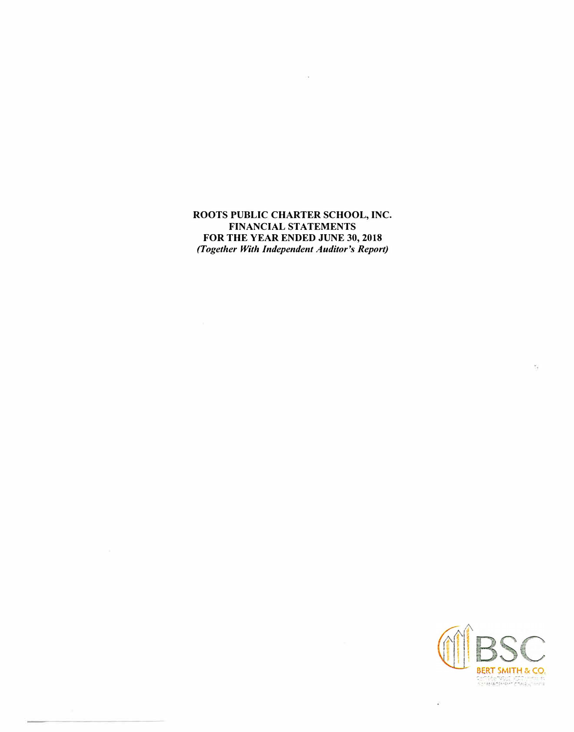**ROOTS PUBLIC CHARTER SCHOOL, INC. FINANCIAL STATEMENTS FOR THE YEAR ENDED JUNE 30, 2018**  *(Together With Independent Auditor's Report)* 

 $\sim 10$ 



 $\epsilon_{\rm s}$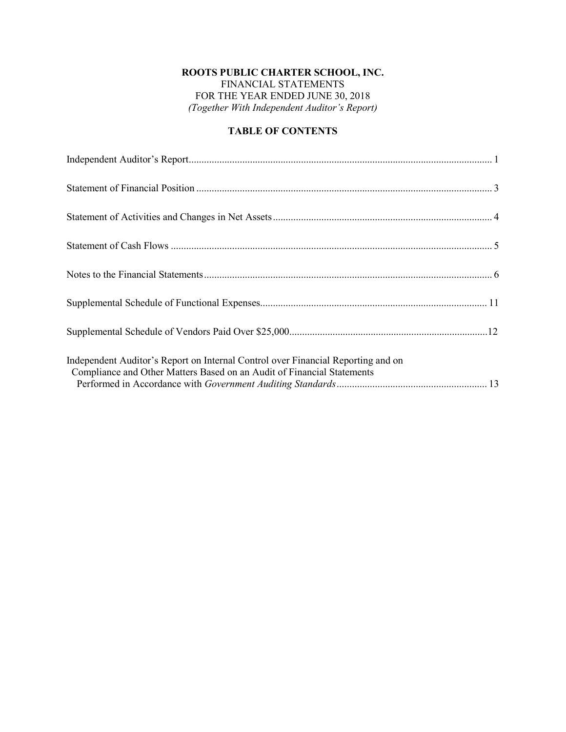# **ROOTS PUBLIC CHARTER SCHOOL, INC.** FINANCIAL STATEMENTS FOR THE YEAR ENDED JUNE 30, 2018 *(Together With Independent Auditor's Report)*

# **TABLE OF CONTENTS**

| Independent Auditor's Report on Internal Control over Financial Reporting and on<br>Compliance and Other Matters Based on an Audit of Financial Statements |  |
|------------------------------------------------------------------------------------------------------------------------------------------------------------|--|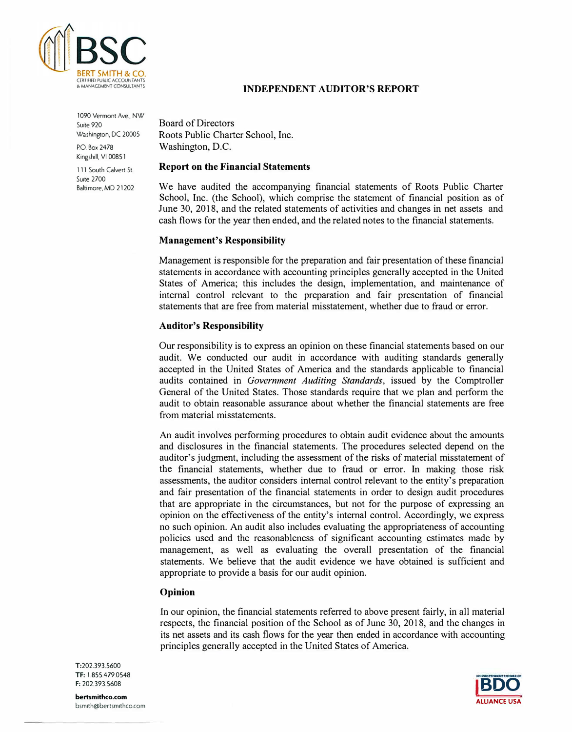

# **INDEPENDENT AUDITOR'S REPORT**

1090 Vermont Ave., NW Suite 920 Washington, DC 20005

P.O. Box 2478 Kingshill, VI 0085 1

111 South Calvert St. **Suite 2700** Baltimore, MD 21202 Board of Directors Roots Public Charter School, Inc. Washington, D.C.

#### **Report on the Financial Statements**

We have audited the accompanying financial statements of Roots Public Charter School, Inc. (the School), which comprise the statement of financial position as of June 30, 2018, and the related statements of activities and changes in net assets and cash flows for the year then ended, and the related notes to the financial statements.

#### **Management's Responsibility**

Management is responsible for the preparation and fair presentation of these financial statements in accordance with accounting principles generally accepted in the United States of America; this includes the design, implementation, and maintenance of internal control relevant to the preparation and fair presentation of financial statements that are free from material misstatement, whether due to fraud or error.

### **Auditor's Responsibility**

Our responsibility is to express an opinion on these financial statements based on our audit. We conducted our audit in accordance with auditing standards generally accepted in the United States of America and the standards applicable to financial audits contained in *Government Auditing Standards,* issued by the Comptroller General of the United States. Those standards require that we plan and perform the audit to obtain reasonable assurance about whether the financial statements are free from material misstatements.

An audit involves performing procedures to obtain audit evidence about the amounts and disclosures in the financial statements. The procedures selected depend on the auditor's judgment, including the assessment of the risks of material misstatement of the financial statements, whether due to fraud or error. In making those risk assessments, the auditor considers internal control relevant to the entity's preparation and fair presentation of the financial statements in order to design audit procedures that are appropriate in the circumstances, but not for the purpose of expressing an opinion on the effectiveness of the entity's internal control. Accordingly, we express no such opinion. An audit also includes evaluating the appropriateness of accounting policies used and the reasonableness of significant accounting estimates made by management, as well as evaluating the overall presentation of the financial statements. We believe that the audit evidence we have obtained is sufficient and appropriate to provide a basis for our audit opinion.

#### **Opinion**

In our opinion, the financial statements referred to above present fairly, in all material respects, the financial position of the School as of June 30, 2018, and the changes in its net assets and its cash flows for the year then ended in accordance with accounting principles generally accepted in the United States of America.



T:202.393.5600 TF: 1.855.479.0548 F: 202.393.5608

**bertsmithco.com**  bsm1th@bertsm1thco.com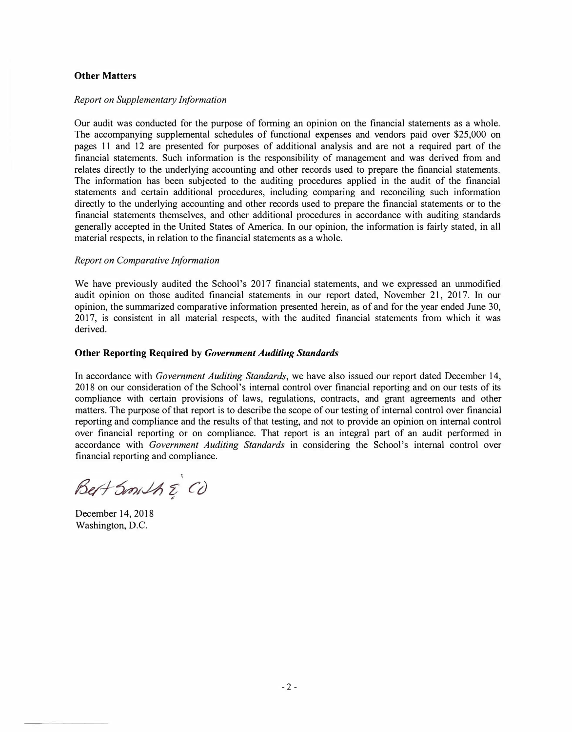### **Other Matters**

#### *Report on Supplementary Information*

Our audit was conducted for the purpose of forming an opinion on the financial statements as a whole. The accompanying supplemental schedules of functional expenses and vendors paid over \$25,000 on pages 11 and 12 are presented for purposes of additional analysis and are not a required part of the financial statements. Such information is the responsibility of management and was derived from and relates directly to the underlying accounting and other records used to prepare the financial statements. The information has been subjected to the auditing procedures applied in the audit of the financial statements and certain additional procedures, including comparing and reconciling such information directly to the underlying accounting and other records used to prepare the financial statements or to the financial statements themselves, and other additional procedures in accordance with auditing standards generally accepted in the United States of America. In our opinion, the information is fairly stated, in all material respects, in relation to the financial statements as a whole.

#### *Report on Comparative Information*

We have previously audited the School's 2017 financial statements, and we expressed an unmodified audit opinion on those audited financial statements in our report dated, November 21, 2017. In our opinion, the summarized comparative information presented herein, as of and for the year ended June 30, 2017, is consistent in all material respects, with the audited financial statements from which it was derived.

#### **Other Reporting Required by** *Government Auditing Standards*

In accordance with *Government Auditing Standards,* we have also issued our report dated December 14, 2018 on our consideration of the School's internal control over financial reporting and on our tests of its compliance with certain provisions of laws, regulations, contracts, and grant agreements and other matters. The purpose of that report is to describe the scope of our testing of internal control over financial reporting and compliance and the results of that testing, and not to provide an opinion on internal control over financial reporting or on compliance. That report is an integral part of an audit performed in accordance with *Government Auditing Standards* in considering the School's internal control over financial reporting and compliance.

Best Smith & CO

December 14, 2018 Washington, D.C.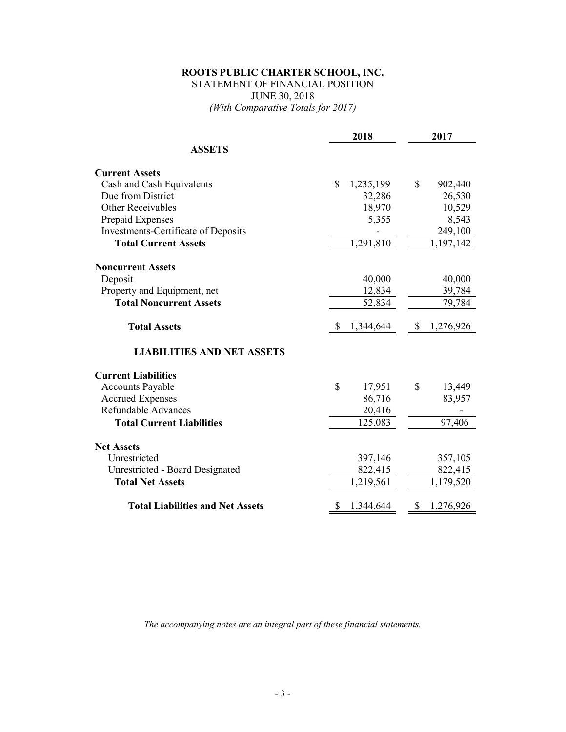## **ROOTS PUBLIC CHARTER SCHOOL, INC.** STATEMENT OF FINANCIAL POSITION JUNE 30, 2018 *(With Comparative Totals for 2017)*

|                                         | 2018            |    | 2017      |
|-----------------------------------------|-----------------|----|-----------|
| <b>ASSETS</b>                           |                 |    |           |
| <b>Current Assets</b>                   |                 |    |           |
| Cash and Cash Equivalents               | \$<br>1,235,199 | \$ | 902,440   |
| Due from District                       | 32,286          |    | 26,530    |
| <b>Other Receivables</b>                | 18,970          |    | 10,529    |
| Prepaid Expenses                        | 5,355           |    | 8,543     |
| Investments-Certificate of Deposits     |                 |    | 249,100   |
| <b>Total Current Assets</b>             | 1,291,810       |    | 1,197,142 |
| <b>Noncurrent Assets</b>                |                 |    |           |
| Deposit                                 | 40,000          |    | 40,000    |
| Property and Equipment, net             | 12,834          |    | 39,784    |
| <b>Total Noncurrent Assets</b>          | 52,834          |    | 79,784    |
| <b>Total Assets</b>                     | \$<br>1,344,644 | \$ | 1,276,926 |
| <b>LIABILITIES AND NET ASSETS</b>       |                 |    |           |
| <b>Current Liabilities</b>              |                 |    |           |
| <b>Accounts Payable</b>                 | \$<br>17,951    | S  | 13,449    |
| <b>Accrued Expenses</b>                 | 86,716          |    | 83,957    |
| <b>Refundable Advances</b>              | 20,416          |    |           |
| <b>Total Current Liabilities</b>        | 125,083         |    | 97,406    |
| <b>Net Assets</b>                       |                 |    |           |
| Unrestricted                            | 397,146         |    | 357,105   |
| Unrestricted - Board Designated         | 822,415         |    | 822,415   |
| <b>Total Net Assets</b>                 | 1,219,561       |    | 1,179,520 |
| <b>Total Liabilities and Net Assets</b> | \$<br>1,344,644 | S  | 1,276,926 |

*The accompanying notes are an integral part of these financial statements.*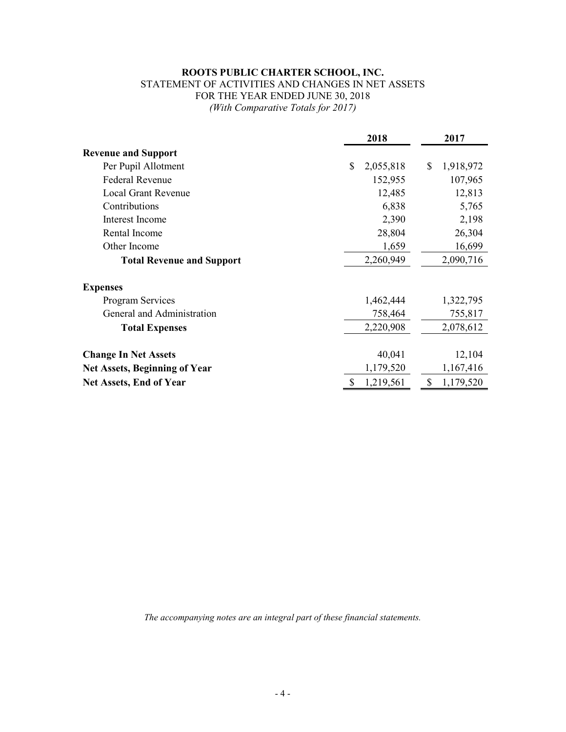# **ROOTS PUBLIC CHARTER SCHOOL, INC.** STATEMENT OF ACTIVITIES AND CHANGES IN NET ASSETS FOR THE YEAR ENDED JUNE 30, 2018 *(With Comparative Totals for 2017)*

|                                      | 2018            | 2017                       |
|--------------------------------------|-----------------|----------------------------|
| <b>Revenue and Support</b>           |                 |                            |
| Per Pupil Allotment                  | \$<br>2,055,818 | 1,918,972<br>$\mathbb{S}$  |
| <b>Federal Revenue</b>               | 152,955         | 107,965                    |
| Local Grant Revenue                  | 12,485          | 12,813                     |
| Contributions                        | 6,838           | 5,765                      |
| Interest Income                      | 2,390           | 2,198                      |
| Rental Income                        | 28,804          | 26,304                     |
| Other Income                         | 1,659           | 16,699                     |
| <b>Total Revenue and Support</b>     | 2,260,949       | 2,090,716                  |
| <b>Expenses</b>                      |                 |                            |
| <b>Program Services</b>              | 1,462,444       | 1,322,795                  |
| General and Administration           | 758,464         | 755,817                    |
| <b>Total Expenses</b>                | 2,220,908       | 2,078,612                  |
|                                      |                 |                            |
| <b>Change In Net Assets</b>          | 40,041          | 12,104                     |
| <b>Net Assets, Beginning of Year</b> | 1,179,520       | 1,167,416                  |
| <b>Net Assets, End of Year</b>       | 1,219,561<br>\$ | $\mathcal{S}$<br>1,179,520 |

*The accompanying notes are an integral part of these financial statements.*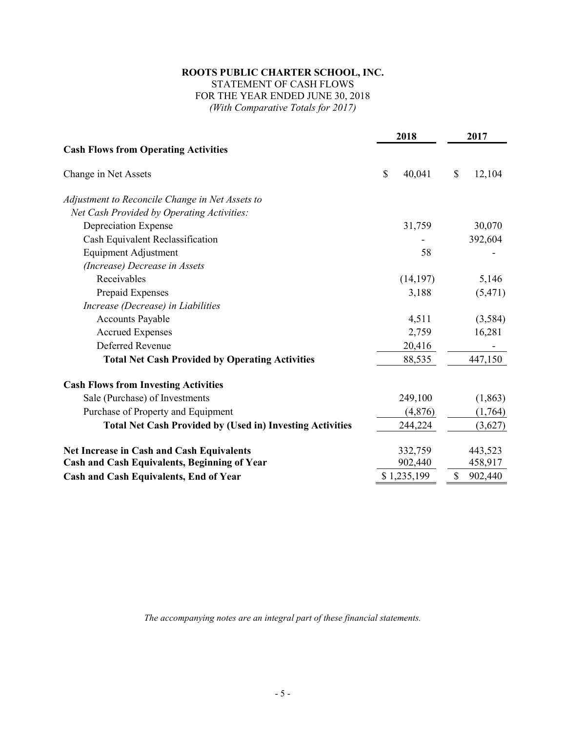# **ROOTS PUBLIC CHARTER SCHOOL, INC.** STATEMENT OF CASH FLOWS FOR THE YEAR ENDED JUNE 30, 2018 *(With Comparative Totals for 2017)*

|                                                                  | 2018         | 2017          |
|------------------------------------------------------------------|--------------|---------------|
| <b>Cash Flows from Operating Activities</b>                      |              |               |
| Change in Net Assets                                             | \$<br>40,041 | \$<br>12,104  |
| Adjustment to Reconcile Change in Net Assets to                  |              |               |
| Net Cash Provided by Operating Activities:                       |              |               |
| Depreciation Expense                                             | 31,759       | 30,070        |
| Cash Equivalent Reclassification                                 |              | 392,604       |
| Equipment Adjustment                                             | 58           |               |
| (Increase) Decrease in Assets                                    |              |               |
| Receivables                                                      | (14, 197)    | 5,146         |
| Prepaid Expenses                                                 | 3,188        | (5, 471)      |
| Increase (Decrease) in Liabilities                               |              |               |
| <b>Accounts Payable</b>                                          | 4,511        | (3,584)       |
| <b>Accrued Expenses</b>                                          | 2,759        | 16,281        |
| Deferred Revenue                                                 | 20,416       |               |
| <b>Total Net Cash Provided by Operating Activities</b>           | 88,535       | 447,150       |
| <b>Cash Flows from Investing Activities</b>                      |              |               |
| Sale (Purchase) of Investments                                   | 249,100      | (1, 863)      |
| Purchase of Property and Equipment                               | (4, 876)     | (1,764)       |
| <b>Total Net Cash Provided by (Used in) Investing Activities</b> | 244,224      | (3,627)       |
| <b>Net Increase in Cash and Cash Equivalents</b>                 | 332,759      | 443,523       |
| <b>Cash and Cash Equivalents, Beginning of Year</b>              | 902,440      | 458,917       |
| Cash and Cash Equivalents, End of Year                           | \$1,235,199  | \$<br>902,440 |

*The accompanying notes are an integral part of these financial statements.*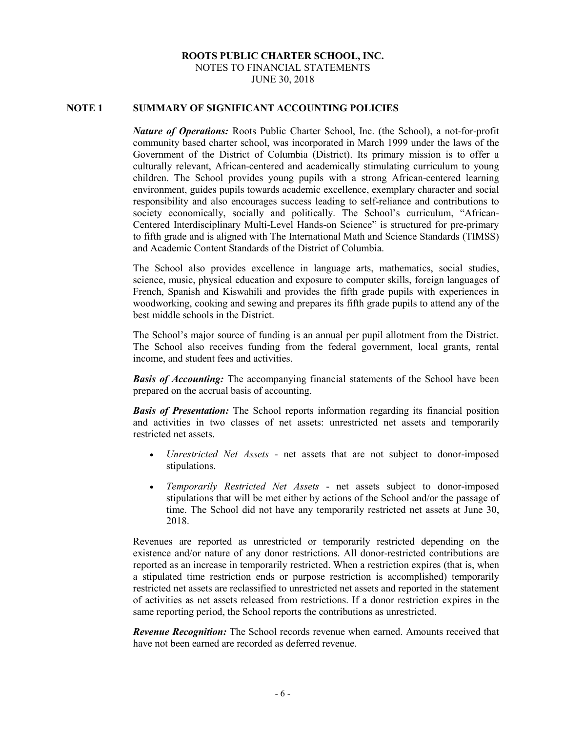## **ROOTS PUBLIC CHARTER SCHOOL, INC.** NOTES TO FINANCIAL STATEMENTS JUNE 30, 2018

### **NOTE 1 SUMMARY OF SIGNIFICANT ACCOUNTING POLICIES**

*Nature of Operations:* Roots Public Charter School, Inc. (the School), a not-for-profit community based charter school, was incorporated in March 1999 under the laws of the Government of the District of Columbia (District). Its primary mission is to offer a culturally relevant, African-centered and academically stimulating curriculum to young children. The School provides young pupils with a strong African-centered learning environment, guides pupils towards academic excellence, exemplary character and social responsibility and also encourages success leading to self-reliance and contributions to society economically, socially and politically. The School's curriculum, "African-Centered Interdisciplinary Multi-Level Hands-on Science" is structured for pre-primary to fifth grade and is aligned with The International Math and Science Standards (TIMSS) and Academic Content Standards of the District of Columbia.

The School also provides excellence in language arts, mathematics, social studies, science, music, physical education and exposure to computer skills, foreign languages of French, Spanish and Kiswahili and provides the fifth grade pupils with experiences in woodworking, cooking and sewing and prepares its fifth grade pupils to attend any of the best middle schools in the District.

The School's major source of funding is an annual per pupil allotment from the District. The School also receives funding from the federal government, local grants, rental income, and student fees and activities.

*Basis of Accounting:* The accompanying financial statements of the School have been prepared on the accrual basis of accounting.

*Basis of Presentation:* The School reports information regarding its financial position and activities in two classes of net assets: unrestricted net assets and temporarily restricted net assets.

- *Unrestricted Net Assets* net assets that are not subject to donor-imposed stipulations.
- *Temporarily Restricted Net Assets* net assets subject to donor-imposed stipulations that will be met either by actions of the School and/or the passage of time. The School did not have any temporarily restricted net assets at June 30, 2018.

Revenues are reported as unrestricted or temporarily restricted depending on the existence and/or nature of any donor restrictions. All donor-restricted contributions are reported as an increase in temporarily restricted. When a restriction expires (that is, when a stipulated time restriction ends or purpose restriction is accomplished) temporarily restricted net assets are reclassified to unrestricted net assets and reported in the statement of activities as net assets released from restrictions. If a donor restriction expires in the same reporting period, the School reports the contributions as unrestricted.

*Revenue Recognition:* The School records revenue when earned. Amounts received that have not been earned are recorded as deferred revenue.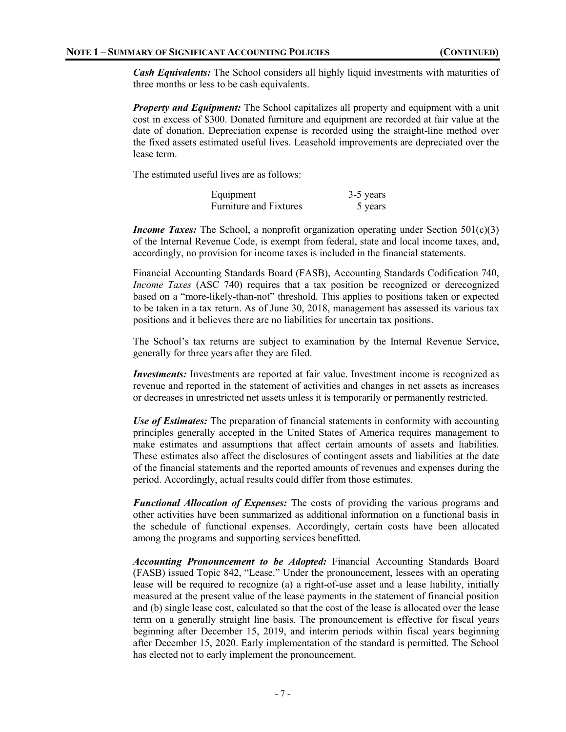*Cash Equivalents:* The School considers all highly liquid investments with maturities of three months or less to be cash equivalents.

*Property and Equipment:* The School capitalizes all property and equipment with a unit cost in excess of \$300. Donated furniture and equipment are recorded at fair value at the date of donation. Depreciation expense is recorded using the straight-line method over the fixed assets estimated useful lives. Leasehold improvements are depreciated over the lease term.

The estimated useful lives are as follows:

| Equipment              | 3-5 years |
|------------------------|-----------|
| Furniture and Fixtures | 5 years   |

*Income Taxes:* The School, a nonprofit organization operating under Section 501(c)(3) of the Internal Revenue Code, is exempt from federal, state and local income taxes, and, accordingly, no provision for income taxes is included in the financial statements.

Financial Accounting Standards Board (FASB), Accounting Standards Codification 740, *Income Taxes* (ASC 740) requires that a tax position be recognized or derecognized based on a "more-likely-than-not" threshold. This applies to positions taken or expected to be taken in a tax return. As of June 30, 2018, management has assessed its various tax positions and it believes there are no liabilities for uncertain tax positions.

The School's tax returns are subject to examination by the Internal Revenue Service, generally for three years after they are filed.

*Investments:* Investments are reported at fair value. Investment income is recognized as revenue and reported in the statement of activities and changes in net assets as increases or decreases in unrestricted net assets unless it is temporarily or permanently restricted.

*Use of Estimates:* The preparation of financial statements in conformity with accounting principles generally accepted in the United States of America requires management to make estimates and assumptions that affect certain amounts of assets and liabilities. These estimates also affect the disclosures of contingent assets and liabilities at the date of the financial statements and the reported amounts of revenues and expenses during the period. Accordingly, actual results could differ from those estimates.

*Functional Allocation of Expenses:* The costs of providing the various programs and other activities have been summarized as additional information on a functional basis in the schedule of functional expenses. Accordingly, certain costs have been allocated among the programs and supporting services benefitted.

*Accounting Pronouncement to be Adopted:* Financial Accounting Standards Board (FASB) issued Topic 842, "Lease." Under the pronouncement, lessees with an operating lease will be required to recognize (a) a right-of-use asset and a lease liability, initially measured at the present value of the lease payments in the statement of financial position and (b) single lease cost, calculated so that the cost of the lease is allocated over the lease term on a generally straight line basis. The pronouncement is effective for fiscal years beginning after December 15, 2019, and interim periods within fiscal years beginning after December 15, 2020. Early implementation of the standard is permitted. The School has elected not to early implement the pronouncement.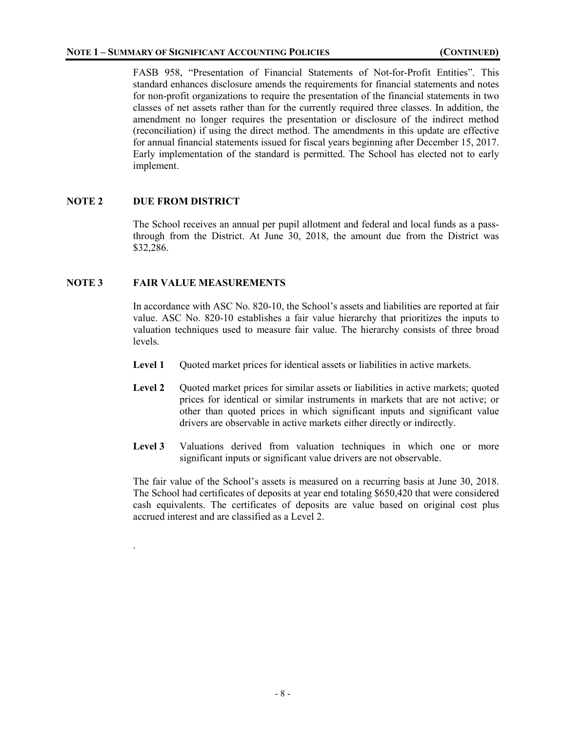FASB 958, "Presentation of Financial Statements of Not-for-Profit Entities". This standard enhances disclosure amends the requirements for financial statements and notes for non-profit organizations to require the presentation of the financial statements in two classes of net assets rather than for the currently required three classes. In addition, the amendment no longer requires the presentation or disclosure of the indirect method (reconciliation) if using the direct method. The amendments in this update are effective for annual financial statements issued for fiscal years beginning after December 15, 2017. Early implementation of the standard is permitted. The School has elected not to early implement.

## **NOTE 2 DUE FROM DISTRICT**

.

The School receives an annual per pupil allotment and federal and local funds as a passthrough from the District. At June 30, 2018, the amount due from the District was \$32,286.

## **NOTE 3 FAIR VALUE MEASUREMENTS**

In accordance with ASC No. 820-10, the School's assets and liabilities are reported at fair value. ASC No. 820-10 establishes a fair value hierarchy that prioritizes the inputs to valuation techniques used to measure fair value. The hierarchy consists of three broad levels.

- Level 1 Quoted market prices for identical assets or liabilities in active markets.
- **Level 2** Ouoted market prices for similar assets or liabilities in active markets; quoted prices for identical or similar instruments in markets that are not active; or other than quoted prices in which significant inputs and significant value drivers are observable in active markets either directly or indirectly.
- Level 3 Valuations derived from valuation techniques in which one or more significant inputs or significant value drivers are not observable.

The fair value of the School's assets is measured on a recurring basis at June 30, 2018. The School had certificates of deposits at year end totaling \$650,420 that were considered cash equivalents. The certificates of deposits are value based on original cost plus accrued interest and are classified as a Level 2.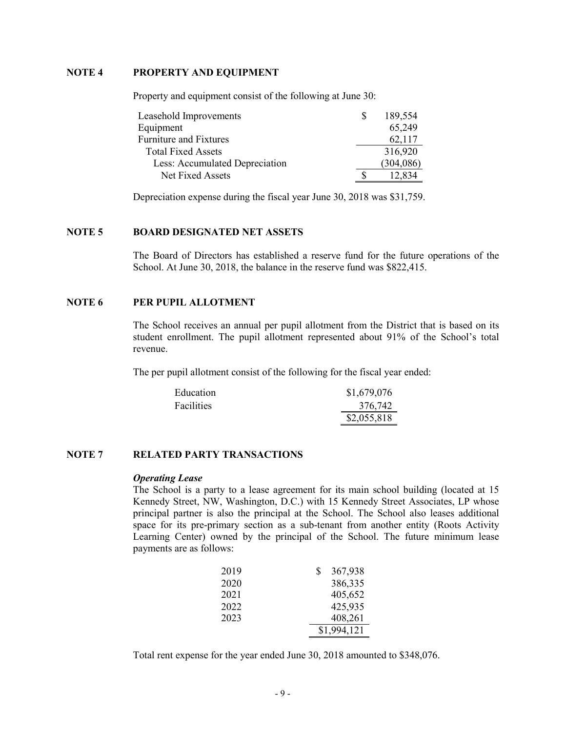## **NOTE 4 PROPERTY AND EQUIPMENT**

| Leasehold Improvements         | -S | 189,554    |
|--------------------------------|----|------------|
| Equipment                      |    | 65,249     |
| <b>Furniture and Fixtures</b>  |    | 62,117     |
| <b>Total Fixed Assets</b>      |    | 316,920    |
| Less: Accumulated Depreciation |    | (304, 086) |
| <b>Net Fixed Assets</b>        |    | 12,834     |

Property and equipment consist of the following at June 30:

Depreciation expense during the fiscal year June 30, 2018 was \$31,759.

#### **NOTE 5 BOARD DESIGNATED NET ASSETS**

The Board of Directors has established a reserve fund for the future operations of the School. At June 30, 2018, the balance in the reserve fund was \$822,415.

## **NOTE 6 PER PUPIL ALLOTMENT**

The School receives an annual per pupil allotment from the District that is based on its student enrollment. The pupil allotment represented about 91% of the School's total revenue.

The per pupil allotment consist of the following for the fiscal year ended:

| Education         | \$1,679,076 |
|-------------------|-------------|
| <b>Facilities</b> | 376,742     |
|                   | \$2,055,818 |

## **NOTE 7 RELATED PARTY TRANSACTIONS**

### *Operating Lease*

The School is a party to a lease agreement for its main school building (located at 15 Kennedy Street, NW, Washington, D.C.) with 15 Kennedy Street Associates, LP whose principal partner is also the principal at the School. The School also leases additional space for its pre-primary section as a sub-tenant from another entity (Roots Activity Learning Center) owned by the principal of the School. The future minimum lease payments are as follows:

| 2019 | 367,938<br>S |  |
|------|--------------|--|
| 2020 | 386,335      |  |
| 2021 | 405,652      |  |
| 2022 | 425,935      |  |
| 2023 | 408,261      |  |
|      | \$1,994,121  |  |

Total rent expense for the year ended June 30, 2018 amounted to \$348,076.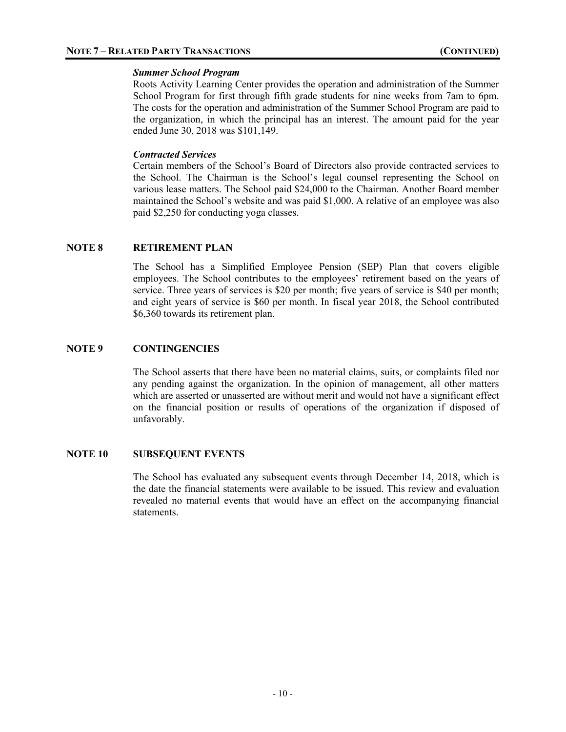#### *Summer School Program*

Roots Activity Learning Center provides the operation and administration of the Summer School Program for first through fifth grade students for nine weeks from 7am to 6pm. The costs for the operation and administration of the Summer School Program are paid to the organization, in which the principal has an interest. The amount paid for the year ended June 30, 2018 was \$101,149.

### *Contracted Services*

Certain members of the School's Board of Directors also provide contracted services to the School. The Chairman is the School's legal counsel representing the School on various lease matters. The School paid \$24,000 to the Chairman. Another Board member maintained the School's website and was paid \$1,000. A relative of an employee was also paid \$2,250 for conducting yoga classes.

## **NOTE 8 RETIREMENT PLAN**

The School has a Simplified Employee Pension (SEP) Plan that covers eligible employees. The School contributes to the employees' retirement based on the years of service. Three years of services is \$20 per month; five years of service is \$40 per month; and eight years of service is \$60 per month. In fiscal year 2018, the School contributed \$6,360 towards its retirement plan.

## **NOTE 9 CONTINGENCIES**

The School asserts that there have been no material claims, suits, or complaints filed nor any pending against the organization. In the opinion of management, all other matters which are asserted or unasserted are without merit and would not have a significant effect on the financial position or results of operations of the organization if disposed of unfavorably.

#### **NOTE 10 SUBSEQUENT EVENTS**

The School has evaluated any subsequent events through December 14, 2018, which is the date the financial statements were available to be issued. This review and evaluation revealed no material events that would have an effect on the accompanying financial statements.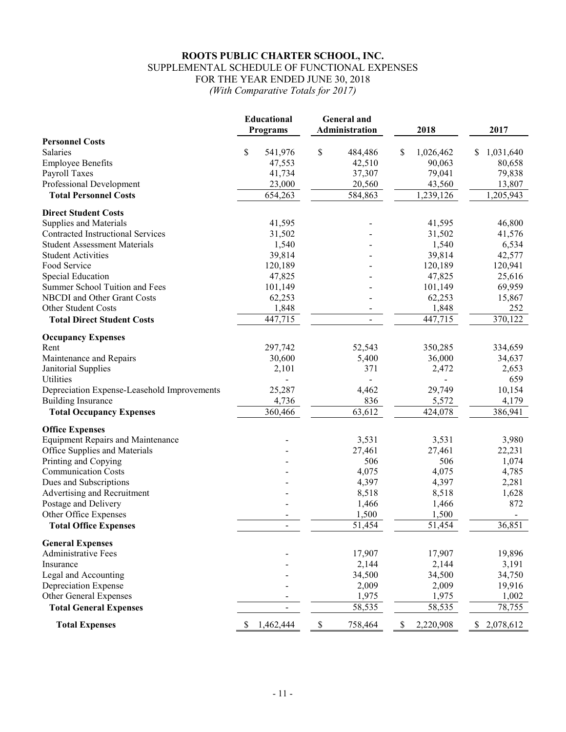# **ROOTS PUBLIC CHARTER SCHOOL, INC.** SUPPLEMENTAL SCHEDULE OF FUNCTIONAL EXPENSES FOR THE YEAR ENDED JUNE 30, 2018 *(With Comparative Totals for 2017)*

|                                             | Educational     | <b>General</b> and     |                 |                |
|---------------------------------------------|-----------------|------------------------|-----------------|----------------|
|                                             | <b>Programs</b> | <b>Administration</b>  | 2018            | 2017           |
| <b>Personnel Costs</b>                      |                 |                        |                 |                |
| Salaries                                    | \$<br>541,976   | \$<br>484,486          | \$<br>1,026,462 | 1,031,640<br>S |
| <b>Employee Benefits</b>                    | 47,553          | 42,510                 | 90,063          | 80,658         |
| Payroll Taxes                               | 41,734          | 37,307                 | 79,041          | 79,838         |
| Professional Development                    | 23,000          | 20,560                 | 43,560          | 13,807         |
| <b>Total Personnel Costs</b>                | 654,263         | 584,863                | 1,239,126       | 1,205,943      |
| <b>Direct Student Costs</b>                 |                 |                        |                 |                |
| Supplies and Materials                      | 41,595          |                        | 41,595          | 46,800         |
| <b>Contracted Instructional Services</b>    | 31,502          |                        | 31,502          | 41,576         |
| <b>Student Assessment Materials</b>         | 1,540           |                        | 1,540           | 6,534          |
| <b>Student Activities</b>                   | 39,814          |                        | 39,814          | 42,577         |
| Food Service                                | 120,189         |                        | 120,189         | 120,941        |
| Special Education                           | 47,825          |                        | 47,825          | 25,616         |
| Summer School Tuition and Fees              | 101,149         |                        | 101,149         | 69,959         |
| NBCDI and Other Grant Costs                 | 62,253          |                        | 62,253          | 15,867         |
| Other Student Costs                         | 1,848           |                        | 1,848           | 252            |
| <b>Total Direct Student Costs</b>           | 447,715         | $\overline{a}$         | 447,715         | 370,122        |
| <b>Occupancy Expenses</b>                   |                 |                        |                 |                |
| Rent                                        | 297,742         | 52,543                 | 350,285         | 334,659        |
| Maintenance and Repairs                     | 30,600          | 5,400                  | 36,000          | 34,637         |
| Janitorial Supplies                         | 2,101           | 371                    | 2,472           | 2,653          |
| Utilities                                   |                 |                        |                 | 659            |
| Depreciation Expense-Leasehold Improvements | 25,287          | 4,462                  | 29,749          | 10,154         |
| <b>Building Insurance</b>                   | 4,736           | 836                    | 5,572           | 4,179          |
| <b>Total Occupancy Expenses</b>             | 360,466         | 63,612                 | 424,078         | 386,941        |
| <b>Office Expenses</b>                      |                 |                        |                 |                |
| <b>Equipment Repairs and Maintenance</b>    |                 | 3,531                  | 3,531           | 3,980          |
| Office Supplies and Materials               |                 | 27,461                 | 27,461          | 22,231         |
| Printing and Copying                        |                 | 506                    | 506             | 1,074          |
| <b>Communication Costs</b>                  |                 | 4,075                  | 4,075           | 4,785          |
| Dues and Subscriptions                      |                 | 4,397                  | 4,397           | 2,281          |
| Advertising and Recruitment                 |                 | 8,518                  | 8,518           | 1,628          |
| Postage and Delivery                        |                 | 1,466                  | 1,466           | 872            |
| Other Office Expenses                       |                 | 1,500                  | 1,500           |                |
| <b>Total Office Expenses</b>                |                 | 51,454                 | 51,454          | 36,851         |
| <b>General Expenses</b>                     |                 |                        |                 |                |
| <b>Administrative Fees</b>                  |                 | 17,907                 | 17,907          | 19,896         |
| Insurance                                   |                 | 2,144                  | 2,144           | 3,191          |
| Legal and Accounting                        |                 | 34,500                 | 34,500          | 34,750         |
| Depreciation Expense                        |                 | 2,009                  | 2,009           | 19,916         |
| Other General Expenses                      |                 | 1,975                  | 1,975           | 1,002          |
| <b>Total General Expenses</b>               |                 | 58,535                 | 58,535          | 78,755         |
| <b>Total Expenses</b>                       | 1,462,444<br>S. | $\mathbb S$<br>758,464 | \$<br>2,220,908 | \$2,078,612    |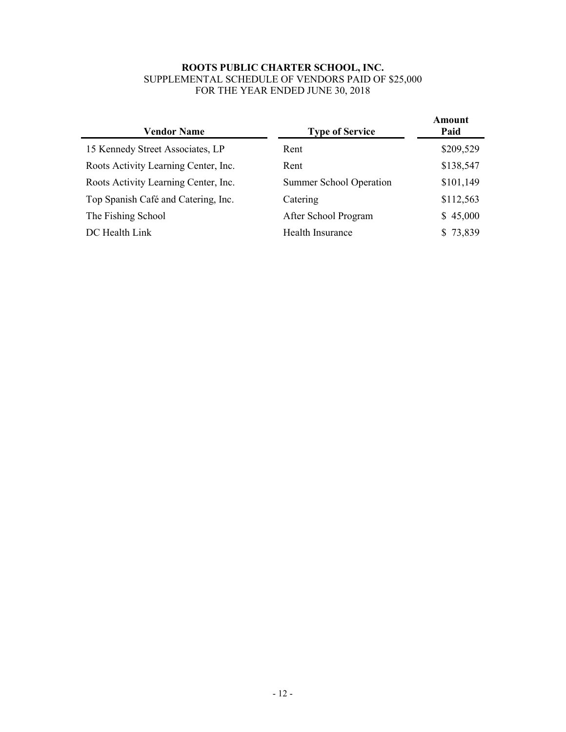# **ROOTS PUBLIC CHARTER SCHOOL, INC.** SUPPLEMENTAL SCHEDULE OF VENDORS PAID OF \$25,000 FOR THE YEAR ENDED JUNE 30, 2018

| <b>Vendor Name</b>                   | <b>Type of Service</b>         | Amount<br>Paid |
|--------------------------------------|--------------------------------|----------------|
| 15 Kennedy Street Associates, LP     | Rent                           | \$209,529      |
| Roots Activity Learning Center, Inc. | Rent                           | \$138,547      |
| Roots Activity Learning Center, Inc. | <b>Summer School Operation</b> | \$101,149      |
| Top Spanish Café and Catering, Inc.  | Catering                       | \$112,563      |
| The Fishing School                   | After School Program           | \$45,000       |
| DC Health Link                       | Health Insurance               | 73,839<br>S.   |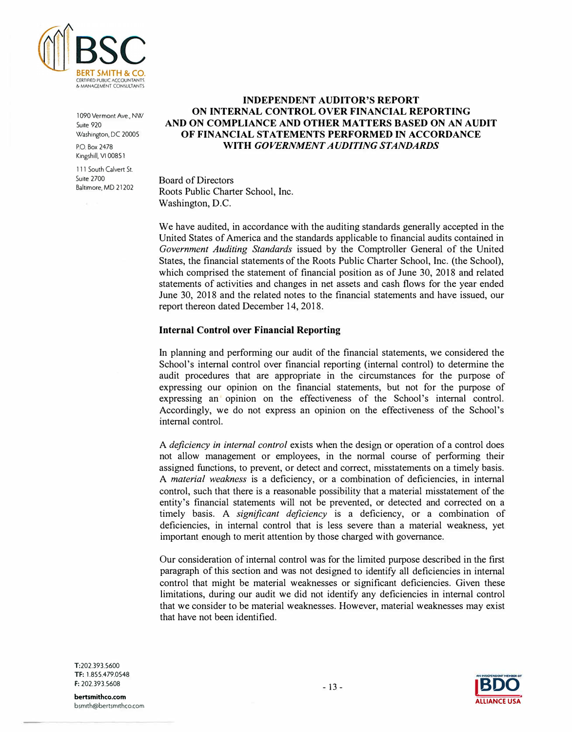

1090 Vermont Ave., NW Suite 920 Washington, DC 20005

P.O. Box 2478 Kingshill, VI 0085 1

111 South Calvert St. Suite 2700 Baltimore, MD 21202

## **INDEPENDENT AUDITOR'S REPORT ON INTERNAL CONTROL OVER FINANCIAL REPORTING AND ON COMPLIANCE AND OTHER MATTERS BASED ON AN AUDIT OF FINANCIAL STATEMENTS PERFORMED** IN **ACCORDANCE WITH** *GOVERNMENT AUDITING STANDARDS*

Board of Directors Roots Public Charter School, Inc. Washington, D.C.

We have audited, in accordance with the auditing standards generally accepted in the United States of America and the standards applicable to financial audits contained in *Government Auditing Standards* issued by the Comptroller General of the United States, the financial statements of the Roots Public Charter School, Inc. (the School), which comprised the statement of financial position as of June 30, 2018 and related statements of activities and changes in net assets and cash flows for the year ended June 30, 2018 and the related notes to the financial statements and have issued, our report thereon dated December 14, 2018.

### **Internal Control over Financial Reporting**

In planning and performing our audit of the financial statements, we considered the School's internal control over financial reporting (internal control) to determine the audit procedures that are appropriate in the circumstances for the purpose of expressing our opinion on the financial statements, but not for the purpose of expressing an opinion on the effectiveness of the School's internal control. Accordingly, we do not express an opinion on the effectiveness of the School's internal control.

A *deficiency in internal control* exists when the design or operation of a control does not allow management or employees, in the normal course of performing their assigned functions, to prevent, or detect and correct, misstatements on a timely basis. A *material weakness* is a deficiency, or a combination of deficiencies, in internal control, such that there is a reasonable possibility that a material misstatement of the entity's financial statements will not be prevented, or detected and corrected on a timely basis. A *significant deficiency* is a deficiency, or a combination of deficiencies, in internal control that is less severe than a material weakness, yet important enough to merit attention by those charged with governance.

Our consideration of internal control was for the limited purpose described in the first paragraph of this section and was not designed to identify all deficiencies in internal control that might be material weaknesses or significant deficiencies. Given these limitations, during our audit we did not identify any deficiencies in internal control that we consider to be material weaknesses. However, material weaknesses may exist that have not been identified.

T:202.393.5600 **TF:** 1.855.479.0548 F: 202.393.5608

bertsmithco.com bsm1th@bertsm1thco.com